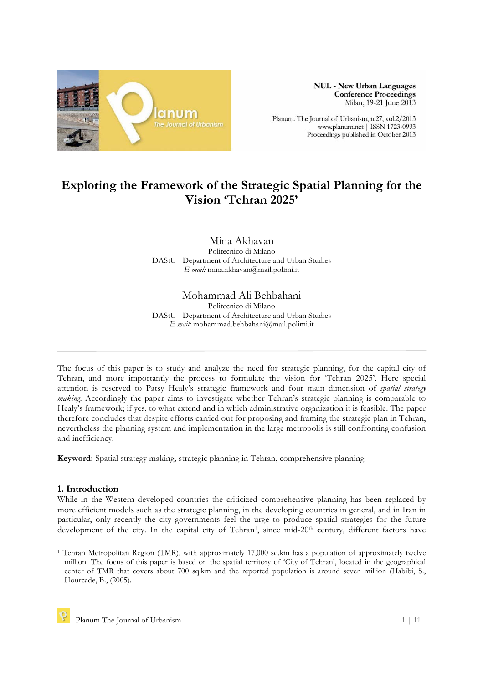

**NUL - New Urban Languages Conference Proceedings** Milan, 19-21 June 2013

Planum. The Journal of Urbanism, n.27, vol.2/2013 www.planum.net | ISSN 1723-0993 Proceedings published in October 2013

# **Exploring the Framework of the Strategic Spatial Planning for the Vision 'Tehran 2025'**

Mina Akhavan Politecnico di Milano DAStU - Department of Architecture and Urban Studies *E-mail:* mina.akhavan@mail.polimi.it

## Mohammad Ali Behbahani

Politecnico di Milano DAStU - Department of Architecture and Urban Studies *E-mail:* mohammad.behbahani@mail.polimi.it

The focus of this paper is to study and analyze the need for strategic planning, for the capital city of Tehran, and more importantly the process to formulate the vision for 'Tehran 2025'. Here special attention is reserved to Patsy Healy's strategic framework and four main dimension of *spatial strategy making*. Accordingly the paper aims to investigate whether Tehran's strategic planning is comparable to Healy's framework; if yes, to what extend and in which administrative organization it is feasible. The paper therefore concludes that despite efforts carried out for proposing and framing the strategic plan in Tehran, nevertheless the planning system and implementation in the large metropolis is still confronting confusion and inefficiency.

**Keyword:** Spatial strategy making, strategic planning in Tehran, comprehensive planning

#### **1. Introduction**

While in the Western developed countries the criticized comprehensive planning has been replaced by more efficient models such as the strategic planning, in the developing countries in general, and in Iran in particular, only recently the city governments feel the urge to produce spatial strategies for the future development of the city. In the capital city of Tehran<sup>1</sup>, since mid-20<sup>th</sup> century, different factors have

 $\overline{a}$ <sup>1</sup> Tehran Metropolitan Region (TMR), with approximately 17,000 sq.km has a population of approximately twelve million. The focus of this paper is based on the spatial territory of 'City of Tehran', located in the geographical center of TMR that covers about 700 sq.km and the reported population is around seven million (Habibi, S., Hourcade, B., (2005).

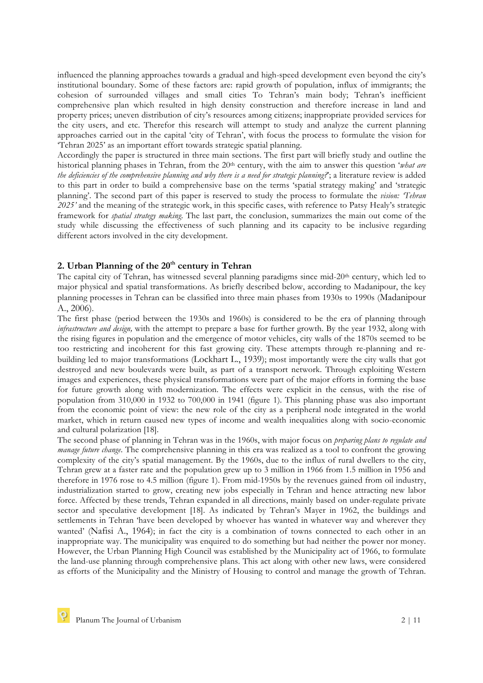influenced the planning approaches towards a gradual and high-speed development even beyond the city's institutional boundary. Some of these factors are: rapid growth of population, influx of immigrants; the cohesion of surrounded villages and small cities To Tehran's main body; Tehran's inefficient comprehensive plan which resulted in high density construction and therefore increase in land and property prices; uneven distribution of city's resources among citizens; inappropriate provided services for the city users, and etc. Therefor this research will attempt to study and analyze the current planning approaches carried out in the capital 'city of Tehran', with focus the process to formulate the vision for 'Tehran 2025' as an important effort towards strategic spatial planning.

Accordingly the paper is structured in three main sections. The first part will briefly study and outline the historical planning phases in Tehran, from the 20<sup>th</sup> century, with the aim to answer this question '*what are the deficiencies of the comprehensive planning and why there is a need for strategic planning?*'; a literature review is added to this part in order to build a comprehensive base on the terms 'spatial strategy making' and 'strategic planning'. The second part of this paper is reserved to study the process to formulate the *vision: 'Tehran 2025'* and the meaning of the strategic work, in this specific cases, with reference to Patsy Healy's strategic framework for *spatial strategy making*. The last part, the conclusion, summarizes the main out come of the study while discussing the effectiveness of such planning and its capacity to be inclusive regarding different actors involved in the city development.

### 2. Urban Planning of the 20<sup>th</sup> century in Tehran

The capital city of Tehran, has witnessed several planning paradigms since mid-20<sup>th</sup> century, which led to major physical and spatial transformations. As briefly described below, according to Madanipour, the key planning processes in Tehran can be classified into three main phases from 1930s to 1990s (Madanipour A., 2006).

The first phase (period between the 1930s and 1960s) is considered to be the era of planning through *infrastructure and design,* with the attempt to prepare a base for further growth. By the year 1932, along with the rising figures in population and the emergence of motor vehicles, city walls of the 1870s seemed to be too restricting and incoherent for this fast growing city. These attempts through re-planning and rebuilding led to major transformations (Lockhart L., 1939); most importantly were the city walls that got destroyed and new boulevards were built, as part of a transport network. Through exploiting Western images and experiences, these physical transformations were part of the major efforts in forming the base for future growth along with modernization. The effects were explicit in the census, with the rise of population from 310,000 in 1932 to 700,000 in 1941 (figure 1). This planning phase was also important from the economic point of view: the new role of the city as a peripheral node integrated in the world market, which in return caused new types of income and wealth inequalities along with socio-economic and cultural polarization [18].

The second phase of planning in Tehran was in the 1960s, with major focus on *preparing plans to regulate and manage future change*. The comprehensive planning in this era was realized as a tool to confront the growing complexity of the city's spatial management. By the 1960s, due to the influx of rural dwellers to the city, Tehran grew at a faster rate and the population grew up to 3 million in 1966 from 1.5 million in 1956 and therefore in 1976 rose to 4.5 million (figure 1). From mid-1950s by the revenues gained from oil industry, industrialization started to grow, creating new jobs especially in Tehran and hence attracting new labor force. Affected by these trends, Tehran expanded in all directions, mainly based on under-regulate private sector and speculative development [18]. As indicated by Tehran's Mayer in 1962, the buildings and settlements in Tehran 'have been developed by whoever has wanted in whatever way and wherever they wanted' (Nafisi A., 1964); in fact the city is a combination of towns connected to each other in an inappropriate way. The municipality was enquired to do something but had neither the power nor money. However, the Urban Planning High Council was established by the Municipality act of 1966, to formulate the land-use planning through comprehensive plans. This act along with other new laws, were considered as efforts of the Municipality and the Ministry of Housing to control and manage the growth of Tehran.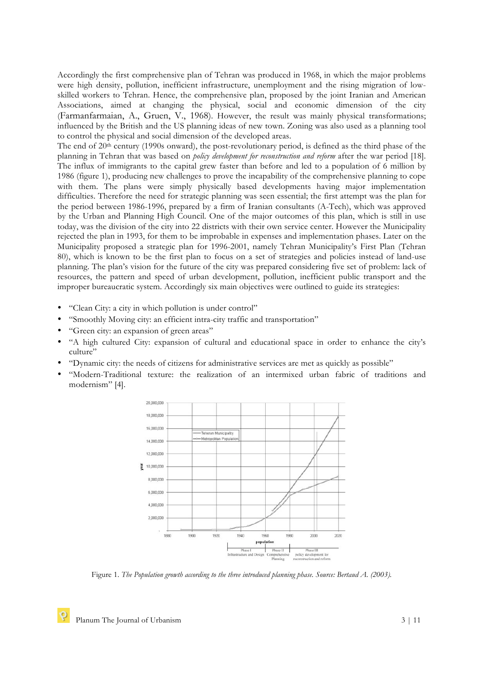Accordingly the first comprehensive plan of Tehran was produced in 1968, in which the major problems were high density, pollution, inefficient infrastructure, unemployment and the rising migration of lowskilled workers to Tehran. Hence, the comprehensive plan, proposed by the joint Iranian and American Associations, aimed at changing the physical, social and economic dimension of the city (Farmanfarmaian, A., Gruen, V., 1968). However, the result was mainly physical transformations; influenced by the British and the US planning ideas of new town. Zoning was also used as a planning tool to control the physical and social dimension of the developed areas.

The end of 20<sup>th</sup> century (1990s onward), the post-revolutionary period, is defined as the third phase of the planning in Tehran that was based on *policy development for reconstruction and reform* after the war period [18]. The influx of immigrants to the capital grew faster than before and led to a population of 6 million by 1986 (figure 1), producing new challenges to prove the incapability of the comprehensive planning to cope with them. The plans were simply physically based developments having major implementation difficulties. Therefore the need for strategic planning was seen essential; the first attempt was the plan for the period between 1986-1996, prepared by a firm of Iranian consultants (A-Tech), which was approved by the Urban and Planning High Council. One of the major outcomes of this plan, which is still in use today, was the division of the city into 22 districts with their own service center. However the Municipality rejected the plan in 1993, for them to be improbable in expenses and implementation phases. Later on the Municipality proposed a strategic plan for 1996-2001, namely Tehran Municipality's First Plan (Tehran 80), which is known to be the first plan to focus on a set of strategies and policies instead of land-use planning. The plan's vision for the future of the city was prepared considering five set of problem: lack of resources, the pattern and speed of urban development, pollution, inefficient public transport and the improper bureaucratic system. Accordingly six main objectives were outlined to guide its strategies:

- "Clean City: a city in which pollution is under control"
- "Smoothly Moving city: an efficient intra-city traffic and transportation"
- "Green city: an expansion of green areas"
- "A high cultured City: expansion of cultural and educational space in order to enhance the city's culture"
- "Dynamic city: the needs of citizens for administrative services are met as quickly as possible"
- "Modern-Traditional texture: the realization of an intermixed urban fabric of traditions and modernism" [4].



Figure 1. *The Population growth according to the three introduced planning phase. Source: Bertaud A. (2003).*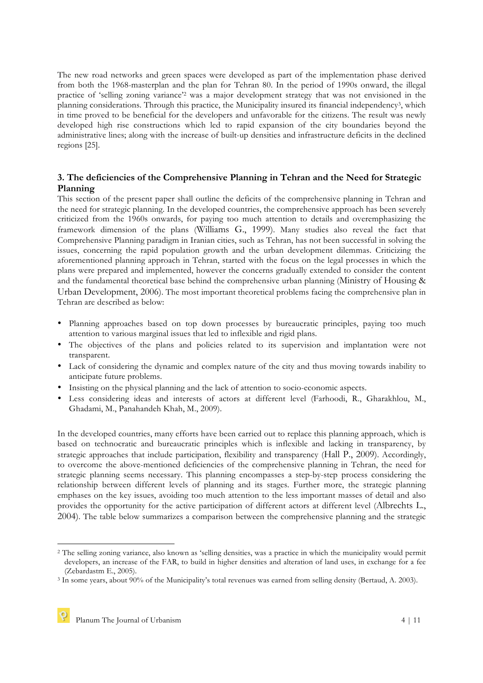The new road networks and green spaces were developed as part of the implementation phase derived from both the 1968-masterplan and the plan for Tehran 80. In the period of 1990s onward, the illegal practice of 'selling zoning variance'2 was a major development strategy that was not envisioned in the planning considerations. Through this practice, the Municipality insured its financial independency3, which in time proved to be beneficial for the developers and unfavorable for the citizens. The result was newly developed high rise constructions which led to rapid expansion of the city boundaries beyond the administrative lines; along with the increase of built-up densities and infrastructure deficits in the declined regions [25].

## **3. The deficiencies of the Comprehensive Planning in Tehran and the Need for Strategic Planning**

This section of the present paper shall outline the deficits of the comprehensive planning in Tehran and the need for strategic planning. In the developed countries, the comprehensive approach has been severely criticized from the 1960s onwards, for paying too much attention to details and overemphasizing the framework dimension of the plans (Williams G., 1999). Many studies also reveal the fact that Comprehensive Planning paradigm in Iranian cities, such as Tehran, has not been successful in solving the issues, concerning the rapid population growth and the urban development dilemmas. Criticizing the aforementioned planning approach in Tehran, started with the focus on the legal processes in which the plans were prepared and implemented, however the concerns gradually extended to consider the content and the fundamental theoretical base behind the comprehensive urban planning (Ministry of Housing & Urban Development, 2006). The most important theoretical problems facing the comprehensive plan in Tehran are described as below:

- Planning approaches based on top down processes by bureaucratic principles, paying too much attention to various marginal issues that led to inflexible and rigid plans.
- The objectives of the plans and policies related to its supervision and implantation were not transparent.
- Lack of considering the dynamic and complex nature of the city and thus moving towards inability to anticipate future problems.
- Insisting on the physical planning and the lack of attention to socio-economic aspects.
- Less considering ideas and interests of actors at different level (Farhoodi, R., Gharakhlou, M., Ghadami, M., Panahandeh Khah, M., 2009).

In the developed countries, many efforts have been carried out to replace this planning approach, which is based on technocratic and bureaucratic principles which is inflexible and lacking in transparency, by strategic approaches that include participation, flexibility and transparency (Hall P., 2009). Accordingly, to overcome the above-mentioned deficiencies of the comprehensive planning in Tehran, the need for strategic planning seems necessary. This planning encompasses a step-by-step process considering the relationship between different levels of planning and its stages. Further more, the strategic planning emphases on the key issues, avoiding too much attention to the less important masses of detail and also provides the opportunity for the active participation of different actors at different level (Albrechts L., 2004). The table below summarizes a comparison between the comprehensive planning and the strategic

 $\overline{a}$ 

<sup>2</sup> The selling zoning variance, also known as 'selling densities, was a practice in which the municipality would permit developers, an increase of the FAR, to build in higher densities and alteration of land uses, in exchange for a fee (Zebardastm E., 2005).<br><sup>3</sup> In some years, about 90% of the Municipality's total revenues was earned from selling density (Bertaud, A. 2003).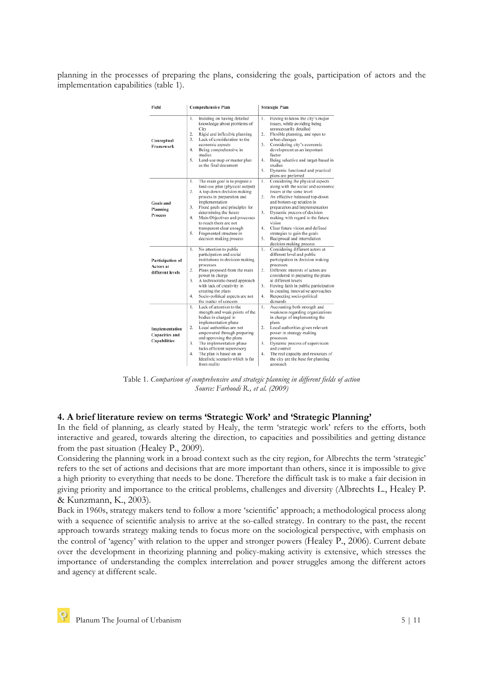planning in the processes of preparing the plans, considering the goals, participation of actors and the implementation capabilities (table 1).

| Field                                                          | <b>Comprehensive Plan</b>                                                                                                                                                                                                                                                                                                                                                            | <b>Strategic Plan</b>                                                                                                                                                                                                                                                                                                                                                                                                                        |  |  |
|----------------------------------------------------------------|--------------------------------------------------------------------------------------------------------------------------------------------------------------------------------------------------------------------------------------------------------------------------------------------------------------------------------------------------------------------------------------|----------------------------------------------------------------------------------------------------------------------------------------------------------------------------------------------------------------------------------------------------------------------------------------------------------------------------------------------------------------------------------------------------------------------------------------------|--|--|
| Conceptual<br>Framework                                        | Insisting on having detailed<br>1.<br>knowledge about problems of<br>City<br>2.<br>Rigid and inflexible planning<br>3.<br>Lack of consideration to the<br>economic aspects<br>4.<br>Being comprehensive in<br>studies<br>5.<br>Land-use map or master plan<br>as the final document                                                                                                  | Having to know the city's major<br>1.<br>issues, while avoiding being<br>unnecessarily detailed<br>Flexible planning, and open to<br>2.<br>urban changes<br>Considering city's economic<br>3.<br>development as an important<br>factor<br>Being selective and target-based in<br>4.<br>studies<br>5.<br>Dynamic functional and practical<br>plans are preferred                                                                              |  |  |
| Goals and<br>Planning<br><b>Process</b>                        | The main goal is to prepare a<br>1.<br>land-use plan (physical output)<br>A top-down decision making<br>2.<br>process in preparation and<br>implementation<br>Fixed goals and principles for<br>3.<br>determining the future<br>Main Objectives and processes<br>4.<br>to reach them are not<br>transparent clear enough<br>5.<br>Fragmented structure in<br>decision making process | Considering the physical aspects<br>1.<br>along with the social and economic<br>issues at the same level<br>2.<br>An effective balanced top-down<br>and bottom-up relation in<br>preparation and implementation<br>Dynamic process of decision<br>3.<br>making with regard to the future<br>vision<br>Clear future vision and defined<br>4.<br>strategies to gain the goals<br>5.<br>Reciprocal and interrelation<br>decision making process |  |  |
| Participation of<br><b>Actors</b> at<br>different levels       | No attention to public<br>1.<br>participation and social<br>institutions in decision making<br>processes<br>Plans proposed from the main<br>2.<br>power in charge<br>A technocratic-based approach<br>3.<br>with lack of creativity in<br>creating the plans<br>Socio-political aspects are not<br>4.<br>the matter of concern                                                       | Considering different actors at<br>1.<br>different level and public<br>participation in decision making<br>processes<br>Different interests of actors are<br>2.<br>considered in preparing the plans<br>at different levels<br>Having faith in public participation<br>3.<br>in creating innovative approaches<br>4.<br>Respecting socio-political<br>demands                                                                                |  |  |
| Implementation<br><b>Capacities and</b><br><b>Capabilities</b> | Lack of attention to the<br>1.<br>strength and weak points of the<br>bodies in charged in<br>implementation phase<br>Local authorities are not<br>2.<br>empowered through preparing<br>and approving the plans<br>The implementation phase<br>3.<br>lacks efficient supervisory<br>The plan is based on an<br>4.<br>Idealistic scenario which is far<br>from reality                 | Accounting both strength and<br>1.<br>weakness regarding organizations<br>in charge of implementing the<br>plans<br>Local authorities given relevant<br>2.<br>power in strategy making<br>processes<br>Dynamic process of supervision<br>3.<br>and control<br>4.<br>The real capacity and resources of<br>the city are the base for planning<br>approach                                                                                     |  |  |

Table 1. *Comparison of comprehensive and strategic planning in different fields of action Source: Farhoodi R., et al. (2009)*

#### **4. A brief literature review on terms 'Strategic Work' and 'Strategic Planning'**

In the field of planning, as clearly stated by Healy, the term 'strategic work' refers to the efforts, both interactive and geared, towards altering the direction, to capacities and possibilities and getting distance from the past situation (Healey P., 2009).

Considering the planning work in a broad context such as the city region, for Albrechts the term 'strategic' refers to the set of actions and decisions that are more important than others, since it is impossible to give a high priority to everything that needs to be done. Therefore the difficult task is to make a fair decision in giving priority and importance to the critical problems, challenges and diversity (Albrechts L., Healey P. & Kunzmann, K., 2003).

Back in 1960s, strategy makers tend to follow a more 'scientific' approach; a methodological process along with a sequence of scientific analysis to arrive at the so-called strategy. In contrary to the past, the recent approach towards strategy making tends to focus more on the sociological perspective, with emphasis on the control of 'agency' with relation to the upper and stronger powers (Healey P., 2006). Current debate over the development in theorizing planning and policy-making activity is extensive, which stresses the importance of understanding the complex interrelation and power struggles among the different actors and agency at different scale.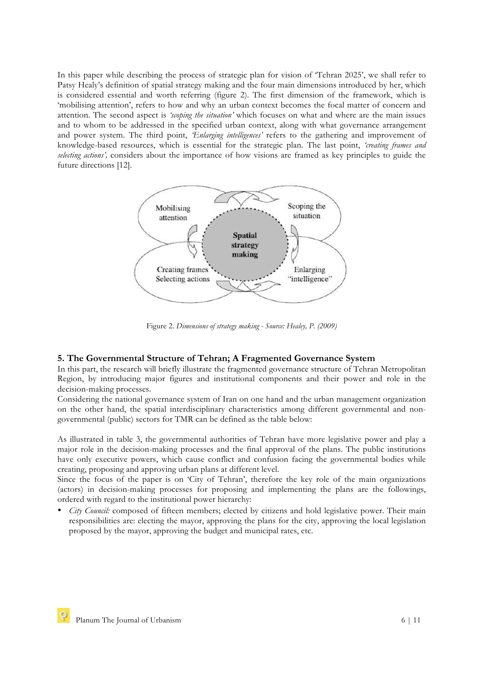In this paper while describing the process of strategic plan for vision of 'Tehran 2025', we shall refer to Patsy Healy's definition of spatial strategy making and the four main dimensions introduced by her, which is considered essential and worth referring (figure 2). The first dimension of the framework, which is 'mobilising attention', refers to how and why an urban context becomes the focal matter of concern and attention. The second aspect is *'scoping the situation'* which focuses on what and where are the main issues and to whom to be addressed in the specified urban context, along with what governance arrangement and power system. The third point, *'Enlarging intelligences'* refers to the gathering and improvement of knowledge-based resources, which is essential for the strategic plan. The last point, *'creating frames and selecting actions',* considers about the importance of how visions are framed as key principles to guide the future directions [12].



Figure 2. *Dimensions of strategy making - Source: Healey, P. (2009)*

#### **5. The Governmental Structure of Tehran; A Fragmented Governance System**

In this part, the research will briefly illustrate the fragmented governance structure of Tehran Metropolitan Region, by introducing major figures and institutional components and their power and role in the decision-making processes.

Considering the national governance system of Iran on one hand and the urban management organization on the other hand, the spatial interdisciplinary characteristics among different governmental and nongovernmental (public) sectors for TMR can be defined as the table below:

As illustrated in table 3, the governmental authorities of Tehran have more legislative power and play a major role in the decision-making processes and the final approval of the plans. The public institutions have only executive powers, which cause conflict and confusion facing the governmental bodies while creating, proposing and approving urban plans at different level.

Since the focus of the paper is on 'City of Tehran', therefore the key role of the main organizations (actors) in decision-making processes for proposing and implementing the plans are the followings, ordered with regard to the institutional power hierarchy:

• *City Council:* composed of fifteen members; elected by citizens and hold legislative power. Their main responsibilities are: electing the mayor, approving the plans for the city, approving the local legislation proposed by the mayor, approving the budget and municipal rates, etc.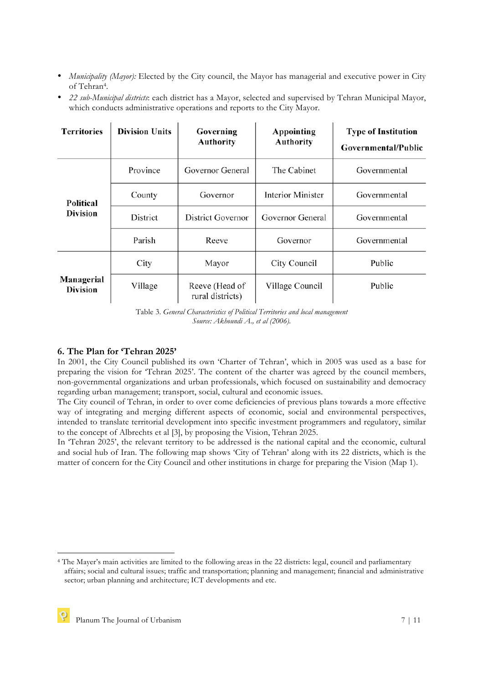- *Municipality (Mayor):* Elected by the City council, the Mayor has managerial and executive power in City of Tehran4.
- *22 sub-Municipal districts*: each district has a Mayor, selected and supervised by Tehran Municipal Mayor, which conducts administrative operations and reports to the City Mayor.

| <b>Territories</b>            | <b>Division Units</b> | Governing<br><b>Authority</b>      | Appointing<br><b>Authority</b> | <b>Type of Institution</b><br>Governmental/Public |
|-------------------------------|-----------------------|------------------------------------|--------------------------------|---------------------------------------------------|
| Political<br><b>Division</b>  | Province              | Governor General                   | The Cabinet                    | Governmental                                      |
|                               | County                | Governor                           | <b>Interior Minister</b>       | Governmental                                      |
|                               | District              | District Governor                  | Governor General               | Governmental                                      |
|                               | Parish                | Reeve                              | Governor                       | Governmental                                      |
| Managerial<br><b>Division</b> | City                  | Mayor                              | City Council                   | Public                                            |
|                               | Village               | Reeve (Head of<br>rural districts) | Village Council                | Public                                            |

Table 3. *General Characteristics of Political Territories and local management Source: Akhoundi A., et al (2006).*

## **6. The Plan for 'Tehran 2025'**

In 2001, the City Council published its own 'Charter of Tehran', which in 2005 was used as a base for preparing the vision for 'Tehran 2025'. The content of the charter was agreed by the council members, non-governmental organizations and urban professionals, which focused on sustainability and democracy regarding urban management; transport, social, cultural and economic issues.

The City council of Tehran, in order to over come deficiencies of previous plans towards a more effective way of integrating and merging different aspects of economic, social and environmental perspectives, intended to translate territorial development into specific investment programmers and regulatory, similar to the concept of Albrechts et al [3], by proposing the Vision, Tehran 2025.

In 'Tehran 2025', the relevant territory to be addressed is the national capital and the economic, cultural and social hub of Iran. The following map shows 'City of Tehran' along with its 22 districts, which is the matter of concern for the City Council and other institutions in charge for preparing the Vision (Map 1).

 $\overline{a}$ 

<sup>4</sup> The Mayer's main activities are limited to the following areas in the 22 districts: legal, council and parliamentary affairs; social and cultural issues; traffic and transportation; planning and management; financial and administrative sector; urban planning and architecture; ICT developments and etc.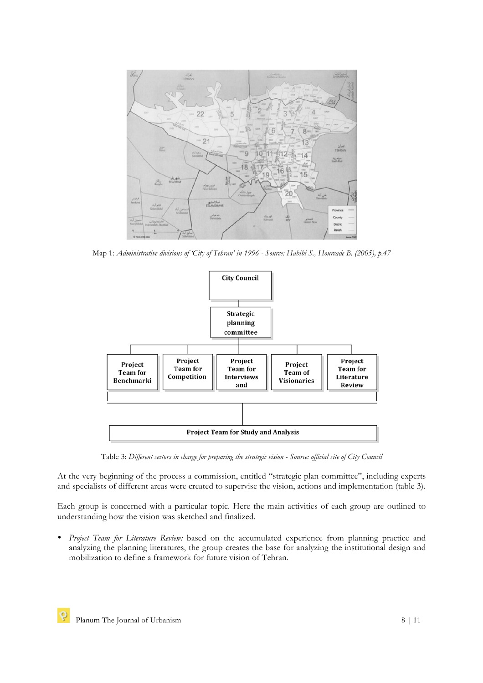

Map 1: *Administrative divisions of 'City of Tehran' in 1996 - Source: Habibi S., Hourcade B. (2005), p.47*



Table 3: *Different sectors in charge for preparing the strategic vision - Source: official site of City Council*

At the very beginning of the process a commission, entitled "strategic plan committee", including experts and specialists of different areas were created to supervise the vision, actions and implementation (table 3).

Each group is concerned with a particular topic. Here the main activities of each group are outlined to understanding how the vision was sketched and finalized.

• *Project Team for Literature Review:* based on the accumulated experience from planning practice and analyzing the planning literatures, the group creates the base for analyzing the institutional design and mobilization to define a framework for future vision of Tehran.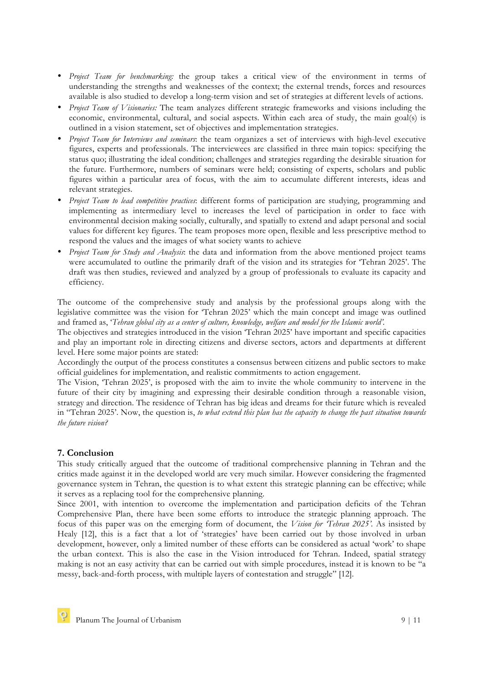- *Project Team for benchmarking:* the group takes a critical view of the environment in terms of understanding the strengths and weaknesses of the context; the external trends, forces and resources available is also studied to develop a long-term vision and set of strategies at different levels of actions.
- *Project Team of Visionaries:* The team analyzes different strategic frameworks and visions including the economic, environmental, cultural, and social aspects. Within each area of study, the main goal(s) is outlined in a vision statement, set of objectives and implementation strategies.
- *Project Team for Interviews and seminars*: the team organizes a set of interviews with high-level executive figures, experts and professionals. The interviewees are classified in three main topics: specifying the status quo; illustrating the ideal condition; challenges and strategies regarding the desirable situation for the future. Furthermore, numbers of seminars were held; consisting of experts, scholars and public figures within a particular area of focus, with the aim to accumulate different interests, ideas and relevant strategies.
- *Project Team to lead competitive practices*: different forms of participation are studying, programming and implementing as intermediary level to increases the level of participation in order to face with environmental decision making socially, culturally, and spatially to extend and adapt personal and social values for different key figures. The team proposes more open, flexible and less prescriptive method to respond the values and the images of what society wants to achieve
- *Project Team for Study and Analysis*: the data and information from the above mentioned project teams were accumulated to outline the primarily draft of the vision and its strategies for 'Tehran 2025'. The draft was then studies, reviewed and analyzed by a group of professionals to evaluate its capacity and efficiency.

The outcome of the comprehensive study and analysis by the professional groups along with the legislative committee was the vision for 'Tehran 2025' which the main concept and image was outlined and framed as, '*Tehran global city as a center of culture, knowledge, welfare and model for the Islamic world'.*

The objectives and strategies introduced in the vision 'Tehran 2025' have important and specific capacities and play an important role in directing citizens and diverse sectors, actors and departments at different level. Here some major points are stated:

Accordingly the output of the process constitutes a consensus between citizens and public sectors to make official guidelines for implementation, and realistic commitments to action engagement.

The Vision, 'Tehran 2025', is proposed with the aim to invite the whole community to intervene in the future of their city by imagining and expressing their desirable condition through a reasonable vision, strategy and direction. The residence of Tehran has big ideas and dreams for their future which is revealed in "Tehran 2025'. Now, the question is, *to what extend this plan has the capacity to change the past situation towards the future vision?* 

## **7. Conclusion**

This study critically argued that the outcome of traditional comprehensive planning in Tehran and the critics made against it in the developed world are very much similar. However considering the fragmented governance system in Tehran, the question is to what extent this strategic planning can be effective; while it serves as a replacing tool for the comprehensive planning.

Since 2001, with intention to overcome the implementation and participation deficits of the Tehran Comprehensive Plan, there have been some efforts to introduce the strategic planning approach. The focus of this paper was on the emerging form of document, the *Vision for 'Tehran 2025'*. As insisted by Healy [12], this is a fact that a lot of 'strategies' have been carried out by those involved in urban development, however, only a limited number of these efforts can be considered as actual 'work' to shape the urban context. This is also the case in the Vision introduced for Tehran. Indeed, spatial strategy making is not an easy activity that can be carried out with simple procedures, instead it is known to be "a messy, back-and-forth process, with multiple layers of contestation and struggle" [12].

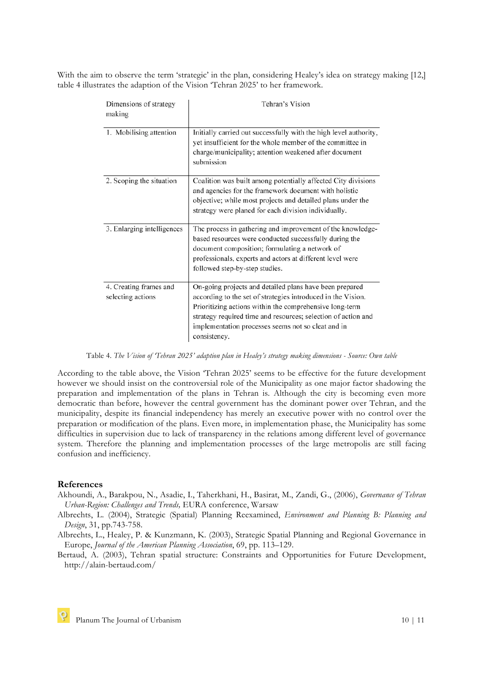With the aim to observe the term 'strategic' in the plan, considering Healey's idea on strategy making [12,] table 4 illustrates the adaption of the Vision 'Tehran 2025' to her framework.

| Dimensions of strategy<br>making            | Tehran's Vision                                                                                                                                                                                                                                                                                                           |
|---------------------------------------------|---------------------------------------------------------------------------------------------------------------------------------------------------------------------------------------------------------------------------------------------------------------------------------------------------------------------------|
| 1. Mobilising attention                     | Initially carried out successfully with the high level authority,<br>yet insufficient for the whole member of the committee in<br>charge/municipality; attention weakened after document<br>submission                                                                                                                    |
| 2. Scoping the situation                    | Coalition was built among potentially affected City divisions<br>and agencies for the framework document with holistic<br>objective; while most projects and detailed plans under the<br>strategy were planed for each division individually.                                                                             |
| 3. Enlarging intelligences                  | The process in gathering and improvement of the knowledge-<br>based resources were conducted successfully during the<br>document composition; formulating a network of<br>professionals, experts and actors at different level were<br>followed step-by-step studies.                                                     |
| 4. Creating frames and<br>selecting actions | On-going projects and detailed plans have been prepared<br>according to the set of strategies introduced in the Vision.<br>Prioritizing actions within the comprehensive long-term<br>strategy required time and resources; selection of action and<br>implementation processes seems not so cleat and in<br>consistency. |

Table 4. *The Vision of 'Tehran 2025' adaption plan in Healey's strategy making dimensions - Source: Own table*

According to the table above, the Vision 'Tehran 2025' seems to be effective for the future development however we should insist on the controversial role of the Municipality as one major factor shadowing the preparation and implementation of the plans in Tehran is. Although the city is becoming even more democratic than before, however the central government has the dominant power over Tehran, and the municipality, despite its financial independency has merely an executive power with no control over the preparation or modification of the plans. Even more, in implementation phase, the Municipality has some difficulties in supervision due to lack of transparency in the relations among different level of governance system. Therefore the planning and implementation processes of the large metropolis are still facing confusion and inefficiency.

#### **References**

- Akhoundi, A., Barakpou, N., Asadie, I., Taherkhani, H., Basirat, M., Zandi, G., (2006), *Governance of Tehran Urban-Region: Challenges and Trends,* EURA conference, Warsaw
- Albrechts, L. (2004), Strategic (Spatial) Planning Reexamined, *Environment and Planning B: Planning and Design*, 31, pp.743-758.
- Albrechts, L., Healey, P. & Kunzmann, K. (2003), Strategic Spatial Planning and Regional Governance in Europe, *Journal of the American Planning Association*, 69, pp. 113–129.

Bertaud, A. (2003), Tehran spatial structure: Constraints and Opportunities for Future Development, http://alain-bertaud.com/